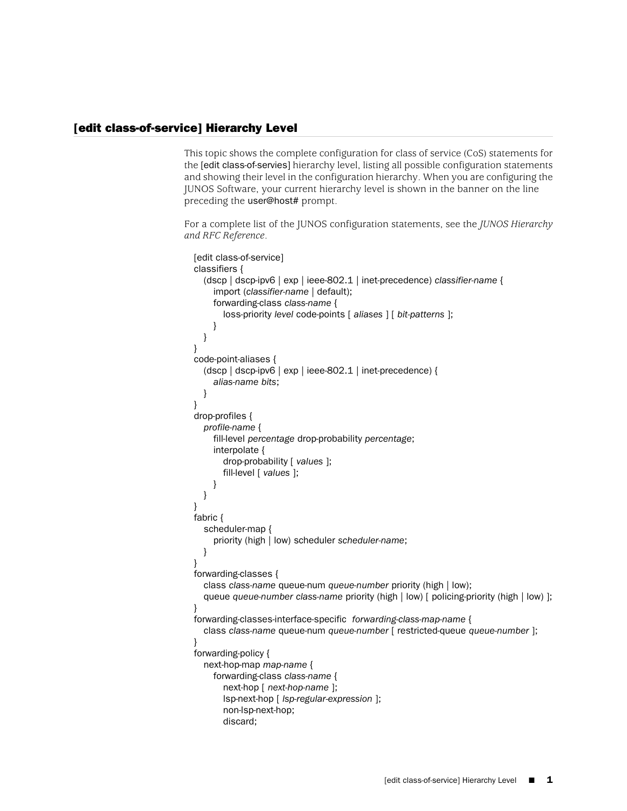## [edit class-of-service] Hierarchy Level

This topic shows the complete configuration for class of service (CoS) statements for the [edit class-of-servies] hierarchy level, listing all possible configuration statements and showing their level in the configuration hierarchy. When you are configuring the JUNOS Software, your current hierarchy level is shown in the banner on the line preceding the user@host# prompt.

For a complete list of the JUNOS configuration statements, see the *JUNOS Hierarchy and RFC Reference*.

```
[edit class-of-service]
classifiers {
  (dscp | dscp-ipv6 | exp | ieee-802.1 | inet-precedence) classifier-name {
     import (classifier-name | default);
     forwarding-class class-name {
       loss-priority level code-points [ aliases ] [ bit-patterns ];
     }
  }
}
code-point-aliases {
  (dscp | dscp-ipv6 | exp | ieee-802.1 | inet-precedence) {
     alias-name bits;
  }
}
drop-profiles {
  profile-name {
     fill-level percentage drop-probability percentage;
     interpolate {
       drop-probability [ values ];
       fill-level [ values ];
     }
  }
}
fabric {
  scheduler-map {
     priority (high | low) scheduler scheduler-name;
  }
}
forwarding-classes {
  class class-name queue-num queue-number priority (high | low);
  queue queue-number class-name priority (high | low) [ policing-priority (high | low) ];
}
forwarding-classes-interface-specific forwarding-class-map-name {
  class class-name queue-num queue-number [ restricted-queue queue-number ];
}
forwarding-policy {
  next-hop-map map-name {
     forwarding-class class-name {
       next-hop [ next-hop-name ];
       lsp-next-hop [ lsp-regular-expression ];
       non-lsp-next-hop;
       discard;
```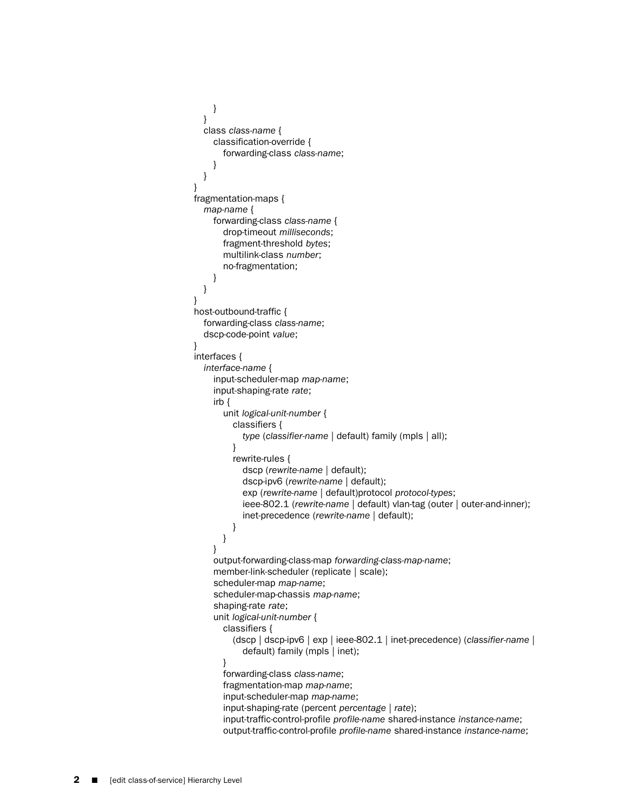```
}
  }
  class class-name {
    classification-override {
      forwarding-class class-name;
    }
  }
}
fragmentation-maps {
  map-name {
    forwarding-class class-name {
       drop-timeout milliseconds;
       fragment-threshold bytes;
       multilink-class number;
       no-fragmentation;
    }
  }
}
host-outbound-traffic {
  forwarding-class class-name;
  dscp-code-point value;
}
interfaces {
  interface-name {
    input-scheduler-map map-name;
    input-shaping-rate rate;
    irb {
       unit logical-unit-number {
         classifiers {
           type (classifier-name | default) family (mpls | all);
         }
         rewrite-rules {
           dscp (rewrite-name | default);
           dscp-ipv6 (rewrite-name | default);
           exp (rewrite-name | default)protocol protocol-types;
           ieee-802.1 (rewrite-name | default) vlan-tag (outer | outer-and-inner);
           inet-precedence (rewrite-name | default);
         }
      }
    }
    output-forwarding-class-map forwarding-class-map-name;
    member-link-scheduler (replicate | scale);
    scheduler-map map-name;
    scheduler-map-chassis map-name;
    shaping-rate rate;
    unit logical-unit-number {
       classifiers {
         (dscp | dscp-ipv6 | exp | ieee-802.1 | inet-precedence) (classifier-name |
           default) family (mpls | inet);
       }
       forwarding-class class-name;
       fragmentation-map map-name;
       input-scheduler-map map-name;
       input-shaping-rate (percent percentage | rate);
       input-traffic-control-profile profile-name shared-instance instance-name;
       output-traffic-control-profile profile-name shared-instance instance-name;
```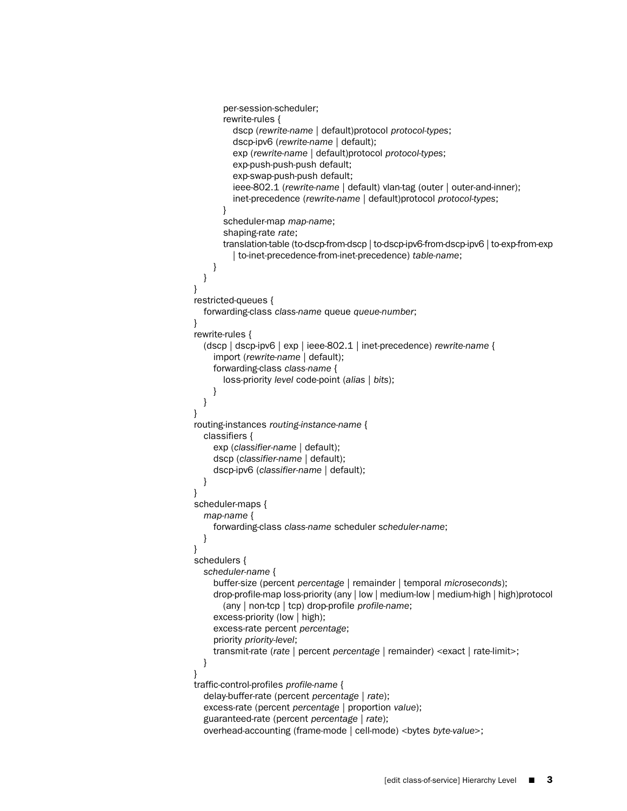```
per-session-scheduler;
       rewrite-rules {
         dscp (rewrite-name | default)protocol protocol-types;
         dscp-ipv6 (rewrite-name | default);
         exp (rewrite-name | default)protocol protocol-types;
         exp-push-push-push default;
         exp-swap-push-push default;
         ieee-802.1 (rewrite-name | default) vlan-tag (outer | outer-and-inner);
         inet-precedence (rewrite-name | default)protocol protocol-types;
       }
       scheduler-map map-name;
       shaping-rate rate;
       translation-table (to-dscp-from-dscp | to-dscp-ipv6-from-dscp-ipv6 | to-exp-from-exp
         | to-inet-precedence-from-inet-precedence) table-name;
    }
  }
}
restricted-queues {
  forwarding-class class-name queue queue-number;
}
rewrite-rules {
  (dscp | dscp-ipv6 | exp | ieee-802.1 | inet-precedence) rewrite-name {
    import (rewrite-name | default);
    forwarding-class class-name {
       loss-priority level code-point (alias | bits);
    }
  }
}
routing-instances routing-instance-name {
  classifiers {
    exp (classifier-name | default);
    dscp (classifier-name | default);
    dscp-ipv6 (classifier-name | default);
  }
}
scheduler-maps {
  map-name {
    forwarding-class class-name scheduler scheduler-name;
  }
}
schedulers {
  scheduler-name {
    buffer-size (percent percentage | remainder | temporal microseconds);
    drop-profile-map loss-priority (any | low | medium-low | medium-high | high)protocol
       (any | non-tcp | tcp) drop-profile profile-name;
    excess-priority (low | high);
    excess-rate percent percentage;
    priority priority-level;
    transmit-rate (rate | percent percentage | remainder) <exact | rate-limit>;
  }
}
traffic-control-profiles profile-name {
  delay-buffer-rate (percent percentage | rate);
  excess-rate (percent percentage | proportion value);
  guaranteed-rate (percent percentage | rate);
  overhead-accounting (frame-mode | cell-mode) <bytes byte-value>;
```